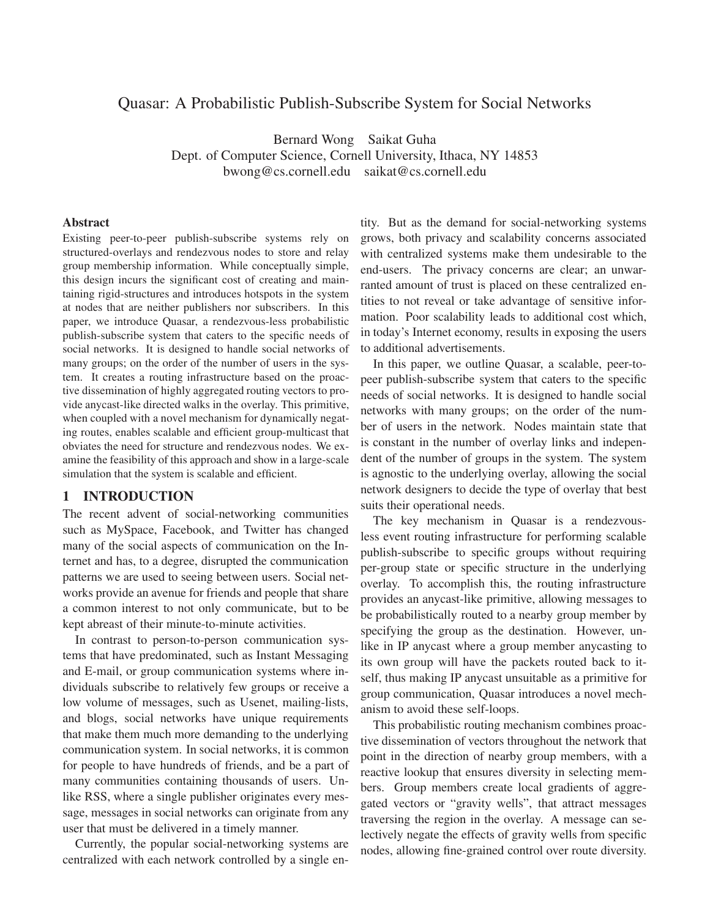# Quasar: A Probabilistic Publish-Subscribe System for Social Networks

Bernard Wong Saikat Guha Dept. of Computer Science, Cornell University, Ithaca, NY 14853 bwong@cs.cornell.edu saikat@cs.cornell.edu

#### **Abstract**

Existing peer-to-peer publish-subscribe systems rely on structured-overlays and rendezvous nodes to store and relay group membership information. While conceptually simple, this design incurs the significant cost of creating and maintaining rigid-structures and introduces hotspots in the system at nodes that are neither publishers nor subscribers. In this paper, we introduce Quasar, a rendezvous-less probabilistic publish-subscribe system that caters to the specific needs of social networks. It is designed to handle social networks of many groups; on the order of the number of users in the system. It creates a routing infrastructure based on the proactive dissemination of highly aggregated routing vectors to provide anycast-like directed walks in the overlay. This primitive, when coupled with a novel mechanism for dynamically negating routes, enables scalable and efficient group-multicast that obviates the need for structure and rendezvous nodes. We examine the feasibility of this approach and show in a large-scale simulation that the system is scalable and efficient.

# **1 INTRODUCTION**

The recent advent of social-networking communities such as MySpace, Facebook, and Twitter has changed many of the social aspects of communication on the Internet and has, to a degree, disrupted the communication patterns we are used to seeing between users. Social networks provide an avenue for friends and people that share a common interest to not only communicate, but to be kept abreast of their minute-to-minute activities.

In contrast to person-to-person communication systems that have predominated, such as Instant Messaging and E-mail, or group communication systems where individuals subscribe to relatively few groups or receive a low volume of messages, such as Usenet, mailing-lists, and blogs, social networks have unique requirements that make them much more demanding to the underlying communication system. In social networks, it is common for people to have hundreds of friends, and be a part of many communities containing thousands of users. Unlike RSS, where a single publisher originates every message, messages in social networks can originate from any user that must be delivered in a timely manner.

Currently, the popular social-networking systems are centralized with each network controlled by a single en-

tity. But as the demand for social-networking systems grows, both privacy and scalability concerns associated with centralized systems make them undesirable to the end-users. The privacy concerns are clear; an unwarranted amount of trust is placed on these centralized entities to not reveal or take advantage of sensitive information. Poor scalability leads to additional cost which, in today's Internet economy, results in exposing the users to additional advertisements.

In this paper, we outline Quasar, a scalable, peer-topeer publish-subscribe system that caters to the specific needs of social networks. It is designed to handle social networks with many groups; on the order of the number of users in the network. Nodes maintain state that is constant in the number of overlay links and independent of the number of groups in the system. The system is agnostic to the underlying overlay, allowing the social network designers to decide the type of overlay that best suits their operational needs.

The key mechanism in Quasar is a rendezvousless event routing infrastructure for performing scalable publish-subscribe to specific groups without requiring per-group state or specific structure in the underlying overlay. To accomplish this, the routing infrastructure provides an anycast-like primitive, allowing messages to be probabilistically routed to a nearby group member by specifying the group as the destination. However, unlike in IP anycast where a group member anycasting to its own group will have the packets routed back to itself, thus making IP anycast unsuitable as a primitive for group communication, Quasar introduces a novel mechanism to avoid these self-loops.

This probabilistic routing mechanism combines proactive dissemination of vectors throughout the network that point in the direction of nearby group members, with a reactive lookup that ensures diversity in selecting members. Group members create local gradients of aggregated vectors or "gravity wells", that attract messages traversing the region in the overlay. A message can selectively negate the effects of gravity wells from specific nodes, allowing fine-grained control over route diversity.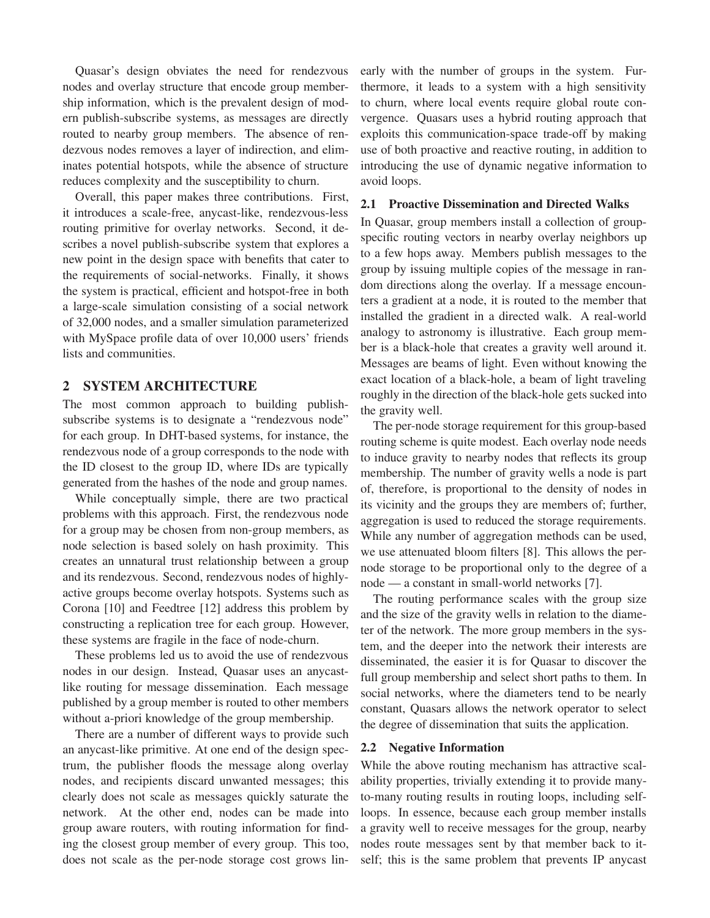Quasar's design obviates the need for rendezvous nodes and overlay structure that encode group membership information, which is the prevalent design of modern publish-subscribe systems, as messages are directly routed to nearby group members. The absence of rendezvous nodes removes a layer of indirection, and eliminates potential hotspots, while the absence of structure reduces complexity and the susceptibility to churn.

Overall, this paper makes three contributions. First, it introduces a scale-free, anycast-like, rendezvous-less routing primitive for overlay networks. Second, it describes a novel publish-subscribe system that explores a new point in the design space with benefits that cater to the requirements of social-networks. Finally, it shows the system is practical, efficient and hotspot-free in both a large-scale simulation consisting of a social network of 32,000 nodes, and a smaller simulation parameterized with MySpace profile data of over 10,000 users' friends lists and communities.

## **2 SYSTEM ARCHITECTURE**

The most common approach to building publishsubscribe systems is to designate a "rendezvous node" for each group. In DHT-based systems, for instance, the rendezvous node of a group corresponds to the node with the ID closest to the group ID, where IDs are typically generated from the hashes of the node and group names.

While conceptually simple, there are two practical problems with this approach. First, the rendezvous node for a group may be chosen from non-group members, as node selection is based solely on hash proximity. This creates an unnatural trust relationship between a group and its rendezvous. Second, rendezvous nodes of highlyactive groups become overlay hotspots. Systems such as Corona [10] and Feedtree [12] address this problem by constructing a replication tree for each group. However, these systems are fragile in the face of node-churn.

These problems led us to avoid the use of rendezvous nodes in our design. Instead, Quasar uses an anycastlike routing for message dissemination. Each message published by a group member is routed to other members without a-priori knowledge of the group membership.

There are a number of different ways to provide such an anycast-like primitive. At one end of the design spectrum, the publisher floods the message along overlay nodes, and recipients discard unwanted messages; this clearly does not scale as messages quickly saturate the network. At the other end, nodes can be made into group aware routers, with routing information for finding the closest group member of every group. This too, does not scale as the per-node storage cost grows linearly with the number of groups in the system. Furthermore, it leads to a system with a high sensitivity to churn, where local events require global route convergence. Quasars uses a hybrid routing approach that exploits this communication-space trade-off by making use of both proactive and reactive routing, in addition to introducing the use of dynamic negative information to avoid loops.

## **2.1 Proactive Dissemination and Directed Walks**

In Quasar, group members install a collection of groupspecific routing vectors in nearby overlay neighbors up to a few hops away. Members publish messages to the group by issuing multiple copies of the message in random directions along the overlay. If a message encounters a gradient at a node, it is routed to the member that installed the gradient in a directed walk. A real-world analogy to astronomy is illustrative. Each group member is a black-hole that creates a gravity well around it. Messages are beams of light. Even without knowing the exact location of a black-hole, a beam of light traveling roughly in the direction of the black-hole gets sucked into the gravity well.

The per-node storage requirement for this group-based routing scheme is quite modest. Each overlay node needs to induce gravity to nearby nodes that reflects its group membership. The number of gravity wells a node is part of, therefore, is proportional to the density of nodes in its vicinity and the groups they are members of; further, aggregation is used to reduced the storage requirements. While any number of aggregation methods can be used, we use attenuated bloom filters [8]. This allows the pernode storage to be proportional only to the degree of a node — a constant in small-world networks [7].

The routing performance scales with the group size and the size of the gravity wells in relation to the diameter of the network. The more group members in the system, and the deeper into the network their interests are disseminated, the easier it is for Quasar to discover the full group membership and select short paths to them. In social networks, where the diameters tend to be nearly constant, Quasars allows the network operator to select the degree of dissemination that suits the application.

### **2.2 Negative Information**

While the above routing mechanism has attractive scalability properties, trivially extending it to provide manyto-many routing results in routing loops, including selfloops. In essence, because each group member installs a gravity well to receive messages for the group, nearby nodes route messages sent by that member back to itself; this is the same problem that prevents IP anycast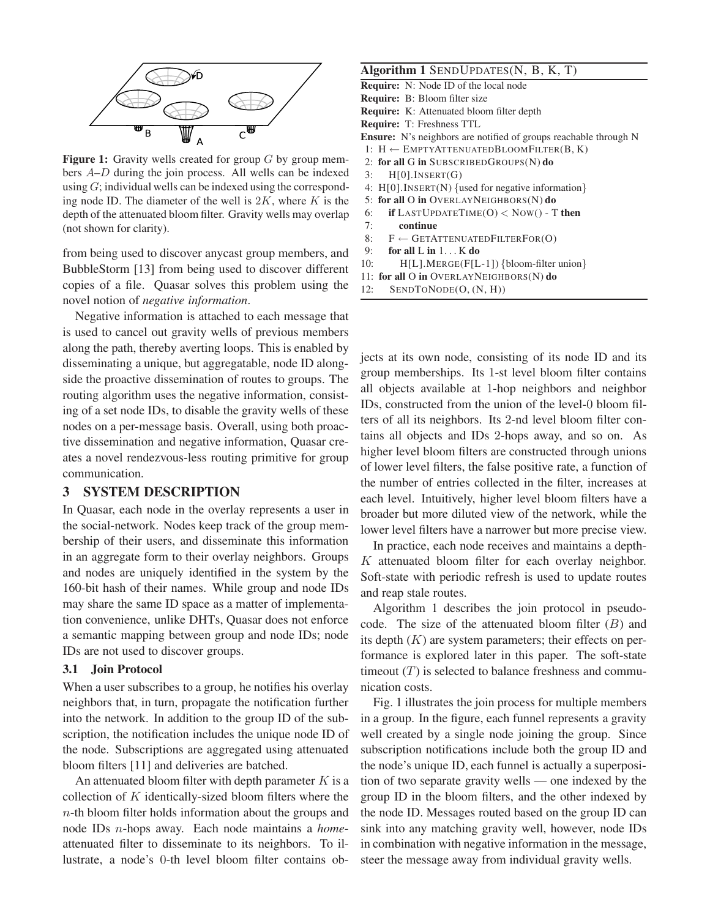

**Figure 1:** Gravity wells created for group G by group members A–D during the join process. All wells can be indexed using  $G$ ; individual wells can be indexed using the corresponding node ID. The diameter of the well is  $2K$ , where K is the depth of the attenuated bloom filter. Gravity wells may overlap (not shown for clarity).

from being used to discover anycast group members, and BubbleStorm [13] from being used to discover different copies of a file. Quasar solves this problem using the novel notion of *negative information*.

Negative information is attached to each message that is used to cancel out gravity wells of previous members along the path, thereby averting loops. This is enabled by disseminating a unique, but aggregatable, node ID alongside the proactive dissemination of routes to groups. The routing algorithm uses the negative information, consisting of a set node IDs, to disable the gravity wells of these nodes on a per-message basis. Overall, using both proactive dissemination and negative information, Quasar creates a novel rendezvous-less routing primitive for group communication.

## **3 SYSTEM DESCRIPTION**

In Quasar, each node in the overlay represents a user in the social-network. Nodes keep track of the group membership of their users, and disseminate this information in an aggregate form to their overlay neighbors. Groups and nodes are uniquely identified in the system by the 160-bit hash of their names. While group and node IDs may share the same ID space as a matter of implementation convenience, unlike DHTs, Quasar does not enforce a semantic mapping between group and node IDs; node IDs are not used to discover groups.

### **3.1 Join Protocol**

When a user subscribes to a group, he notifies his overlay neighbors that, in turn, propagate the notification further into the network. In addition to the group ID of the subscription, the notification includes the unique node ID of the node. Subscriptions are aggregated using attenuated bloom filters [11] and deliveries are batched.

An attenuated bloom filter with depth parameter  $K$  is a collection of  $K$  identically-sized bloom filters where the  $n$ -th bloom filter holds information about the groups and node IDs n-hops away. Each node maintains a *home*attenuated filter to disseminate to its neighbors. To illustrate, a node's 0-th level bloom filter contains ob-

### **Algorithm 1** SENDUPDATES(N, B, K, T)

- **Require:** N: Node ID of the local node **Require:** B: Bloom filter size **Require:** K: Attenuated bloom filter depth **Require:** T: Freshness TTL **Ensure:** N's neighbors are notified of groups reachable through N 1:  $H \leftarrow$  EMPTYATTENUATEDBLOOMFILTER(B, K) 2: **for all** G **in** SUBSCRIBEDGROUPS(N) **do**  $3:$  H[0].INSERT(G) 4: H[0].INSERT(N) {used for negative information} 5: **for all** O **in** OVERLAYNEIGHBORS(N) **do** 6: **if** LASTUPDATETIME(O) < NOW() - T **then** 7: **continue**
	- 8:  $F \leftarrow$  GETATTENUATEDFILTERFOR(O)
- 9: **for all** L **in** 1. . . K **do**
- 10: H[L].MERGE(F[L-1]) {bloom-filter union}
- 11: **for all** O **in** OVERLAYNEIGHBORS(N) **do**
- 12: SENDTONODE(O, (N, H))

jects at its own node, consisting of its node ID and its group memberships. Its 1-st level bloom filter contains all objects available at 1-hop neighbors and neighbor IDs, constructed from the union of the level-0 bloom filters of all its neighbors. Its 2-nd level bloom filter contains all objects and IDs 2-hops away, and so on. As higher level bloom filters are constructed through unions of lower level filters, the false positive rate, a function of the number of entries collected in the filter, increases at each level. Intuitively, higher level bloom filters have a broader but more diluted view of the network, while the lower level filters have a narrower but more precise view.

In practice, each node receives and maintains a depth- $K$  attenuated bloom filter for each overlay neighbor. Soft-state with periodic refresh is used to update routes and reap stale routes.

Algorithm 1 describes the join protocol in pseudocode. The size of the attenuated bloom filter  $(B)$  and its depth  $(K)$  are system parameters; their effects on performance is explored later in this paper. The soft-state timeout  $(T)$  is selected to balance freshness and communication costs.

Fig. 1 illustrates the join process for multiple members in a group. In the figure, each funnel represents a gravity well created by a single node joining the group. Since subscription notifications include both the group ID and the node's unique ID, each funnel is actually a superposition of two separate gravity wells — one indexed by the group ID in the bloom filters, and the other indexed by the node ID. Messages routed based on the group ID can sink into any matching gravity well, however, node IDs in combination with negative information in the message, steer the message away from individual gravity wells.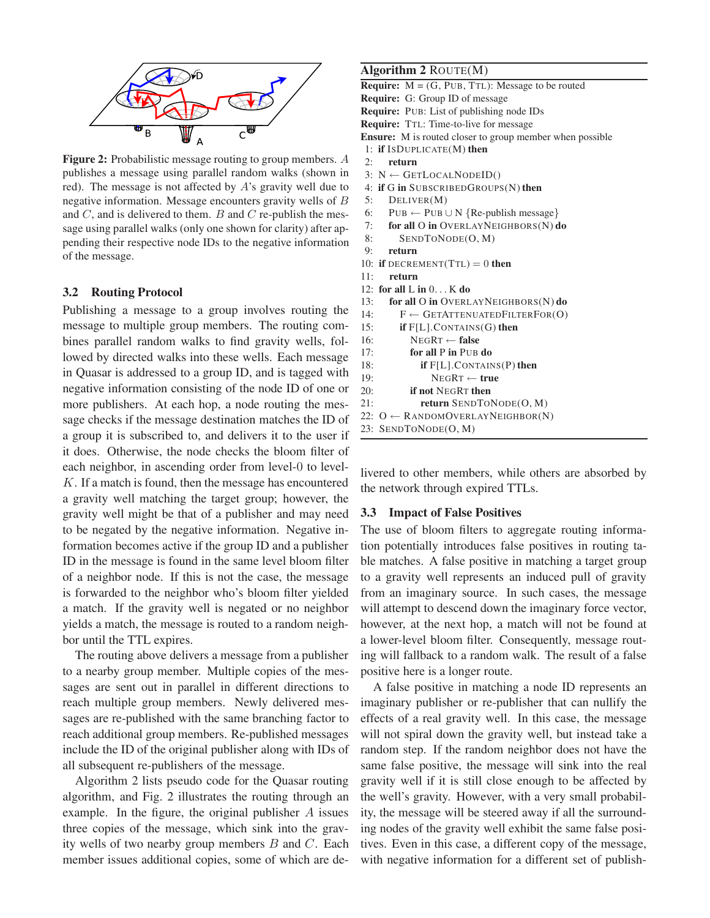

**Figure 2:** Probabilistic message routing to group members. A publishes a message using parallel random walks (shown in red). The message is not affected by A's gravity well due to negative information. Message encounters gravity wells of B and  $C$ , and is delivered to them.  $B$  and  $C$  re-publish the message using parallel walks (only one shown for clarity) after appending their respective node IDs to the negative information of the message.

### **3.2 Routing Protocol**

Publishing a message to a group involves routing the message to multiple group members. The routing combines parallel random walks to find gravity wells, followed by directed walks into these wells. Each message in Quasar is addressed to a group ID, and is tagged with negative information consisting of the node ID of one or more publishers. At each hop, a node routing the message checks if the message destination matches the ID of a group it is subscribed to, and delivers it to the user if it does. Otherwise, the node checks the bloom filter of each neighbor, in ascending order from level-0 to level-K. If a match is found, then the message has encountered a gravity well matching the target group; however, the gravity well might be that of a publisher and may need to be negated by the negative information. Negative information becomes active if the group ID and a publisher ID in the message is found in the same level bloom filter of a neighbor node. If this is not the case, the message is forwarded to the neighbor who's bloom filter yielded a match. If the gravity well is negated or no neighbor yields a match, the message is routed to a random neighbor until the TTL expires.

The routing above delivers a message from a publisher to a nearby group member. Multiple copies of the messages are sent out in parallel in different directions to reach multiple group members. Newly delivered messages are re-published with the same branching factor to reach additional group members. Re-published messages include the ID of the original publisher along with IDs of all subsequent re-publishers of the message.

Algorithm 2 lists pseudo code for the Quasar routing algorithm, and Fig. 2 illustrates the routing through an example. In the figure, the original publisher A issues three copies of the message, which sink into the gravity wells of two nearby group members  $B$  and  $C$ . Each member issues additional copies, some of which are de-

### **Algorithm 2** ROUTE(M)

**Require:**  $M = (G, PUB, TTL)$ : Message to be routed **Require:** G: Group ID of message **Require:** PUB: List of publishing node IDs **Require:** TTL: Time-to-live for message **Ensure:** M is routed closer to group member when possible 1: **if** ISDUPLICATE(M) **then** 2: **return** 3:  $N \leftarrow$  GETLOCALNODEID() 4: **if** G **in** SUBSCRIBEDGROUPS(N) **then** 5: DELIVER(M) 6: PUB ← PUB ∪ N {Re-publish message} 7: **for all** O **in** OVERLAYNEIGHBORS(N) **do** 8: SENDTONODE(O, M) 9: **return** 10: **if** DECREMENT $(TTL) = 0$  **then** 11: **return** 12: **for all** L **in** 0. . . K **do** 13: **for all** O **in** OVERLAYNEIGHBORS(N) **do** 14:  $F \leftarrow$  GETATTENUATEDFILTERFOR(O) 15: **if** F[L].CONTAINS(G) **then** 16: NEGRT ← **false** 17: **for all** P **in** PUB **do** 18: **if** F[L].CONTAINS(P) **then** 19: NEGRT ← **true** 20: **if not** NEGRT **then** 21: **return** SENDTONODE(O, M) 22:  $O \leftarrow$  RANDOMOVERLAYNEIGHBOR(N)

```
23: SENDTONODE(O, M)
```
livered to other members, while others are absorbed by the network through expired TTLs.

#### **3.3 Impact of False Positives**

The use of bloom filters to aggregate routing information potentially introduces false positives in routing table matches. A false positive in matching a target group to a gravity well represents an induced pull of gravity from an imaginary source. In such cases, the message will attempt to descend down the imaginary force vector, however, at the next hop, a match will not be found at a lower-level bloom filter. Consequently, message routing will fallback to a random walk. The result of a false positive here is a longer route.

A false positive in matching a node ID represents an imaginary publisher or re-publisher that can nullify the effects of a real gravity well. In this case, the message will not spiral down the gravity well, but instead take a random step. If the random neighbor does not have the same false positive, the message will sink into the real gravity well if it is still close enough to be affected by the well's gravity. However, with a very small probability, the message will be steered away if all the surrounding nodes of the gravity well exhibit the same false positives. Even in this case, a different copy of the message, with negative information for a different set of publish-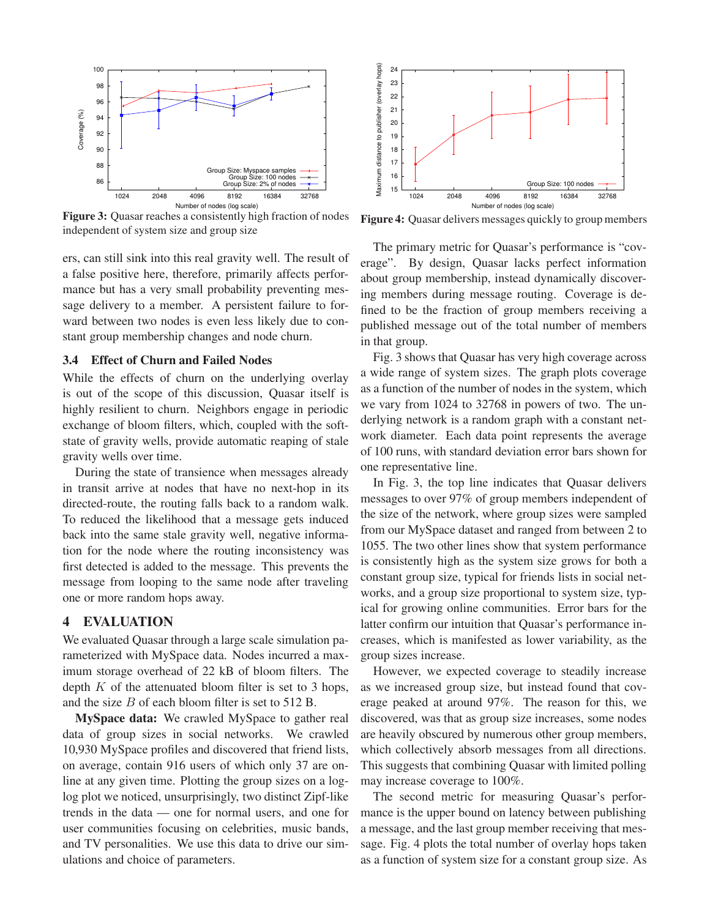

**Figure 3:** Quasar reaches a consistently high fraction of nodes independent of system size and group size

ers, can still sink into this real gravity well. The result of a false positive here, therefore, primarily affects performance but has a very small probability preventing message delivery to a member. A persistent failure to forward between two nodes is even less likely due to constant group membership changes and node churn.

#### **3.4 Effect of Churn and Failed Nodes**

While the effects of churn on the underlying overlay is out of the scope of this discussion, Quasar itself is highly resilient to churn. Neighbors engage in periodic exchange of bloom filters, which, coupled with the softstate of gravity wells, provide automatic reaping of stale gravity wells over time.

During the state of transience when messages already in transit arrive at nodes that have no next-hop in its directed-route, the routing falls back to a random walk. To reduced the likelihood that a message gets induced back into the same stale gravity well, negative information for the node where the routing inconsistency was first detected is added to the message. This prevents the message from looping to the same node after traveling one or more random hops away.

#### **4 EVALUATION**

We evaluated Quasar through a large scale simulation parameterized with MySpace data. Nodes incurred a maximum storage overhead of 22 kB of bloom filters. The depth  $K$  of the attenuated bloom filter is set to 3 hops, and the size B of each bloom filter is set to 512 B.

**MySpace data:** We crawled MySpace to gather real data of group sizes in social networks. We crawled 10,930 MySpace profiles and discovered that friend lists, on average, contain 916 users of which only 37 are online at any given time. Plotting the group sizes on a loglog plot we noticed, unsurprisingly, two distinct Zipf-like trends in the data — one for normal users, and one for user communities focusing on celebrities, music bands, and TV personalities. We use this data to drive our simulations and choice of parameters.



**Figure 4:** Quasar delivers messages quickly to group members

The primary metric for Quasar's performance is "coverage". By design, Quasar lacks perfect information about group membership, instead dynamically discovering members during message routing. Coverage is defined to be the fraction of group members receiving a published message out of the total number of members in that group.

Fig. 3 shows that Quasar has very high coverage across a wide range of system sizes. The graph plots coverage as a function of the number of nodes in the system, which we vary from 1024 to 32768 in powers of two. The underlying network is a random graph with a constant network diameter. Each data point represents the average of 100 runs, with standard deviation error bars shown for one representative line.

In Fig. 3, the top line indicates that Quasar delivers messages to over 97% of group members independent of the size of the network, where group sizes were sampled from our MySpace dataset and ranged from between 2 to 1055. The two other lines show that system performance is consistently high as the system size grows for both a constant group size, typical for friends lists in social networks, and a group size proportional to system size, typical for growing online communities. Error bars for the latter confirm our intuition that Quasar's performance increases, which is manifested as lower variability, as the group sizes increase.

However, we expected coverage to steadily increase as we increased group size, but instead found that coverage peaked at around 97%. The reason for this, we discovered, was that as group size increases, some nodes are heavily obscured by numerous other group members, which collectively absorb messages from all directions. This suggests that combining Quasar with limited polling may increase coverage to 100%.

The second metric for measuring Quasar's performance is the upper bound on latency between publishing a message, and the last group member receiving that message. Fig. 4 plots the total number of overlay hops taken as a function of system size for a constant group size. As